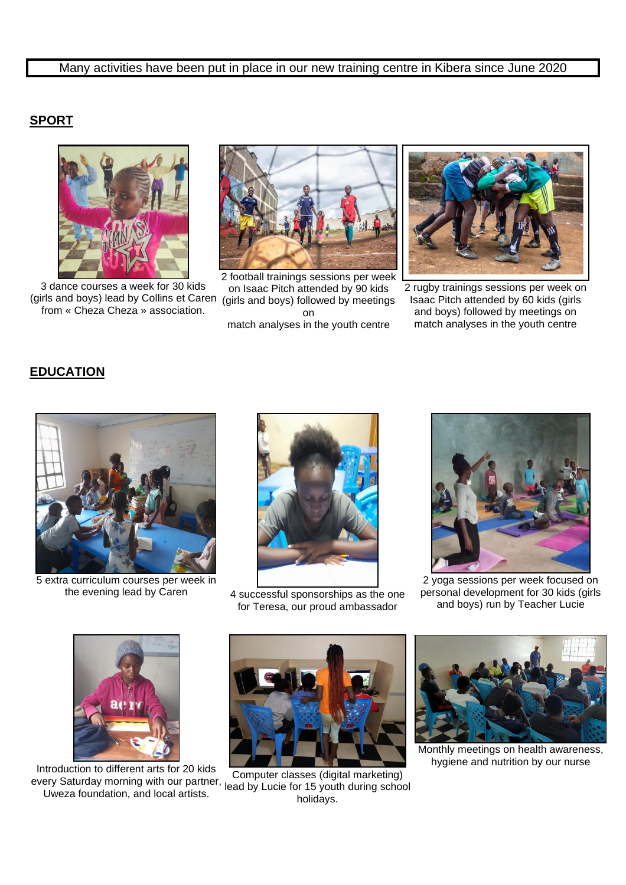# **SPORT**



3 dance courses a week for 30 kids (girls and boys) lead by Collins et Caren (girls and boys) followed by meetings from « Cheza Cheza » association.



2 football trainings sessions per week on Isaac Pitch attended by 90 kids on match analyses in the youth centre



2 rugby trainings sessions per week on Isaac Pitch attended by 60 kids (girls and boys) followed by meetings on match analyses in the youth centre

#### **EDUCATION**



5 extra curriculum courses per week in



the evening lead by Caren 4 successful sponsorships as the one for Teresa, our proud ambassador



2 yoga sessions per week focused on personal development for 30 kids (girls and boys) run by Teacher Lucie



Introduction to different arts for 20 kids every Saturday morning with our partner, Uweza foundation, and local artists.



Computer classes (digital marketing) lead by Lucie for 15 youth during school holidays.



Monthly meetings on health awareness, hygiene and nutrition by our nurse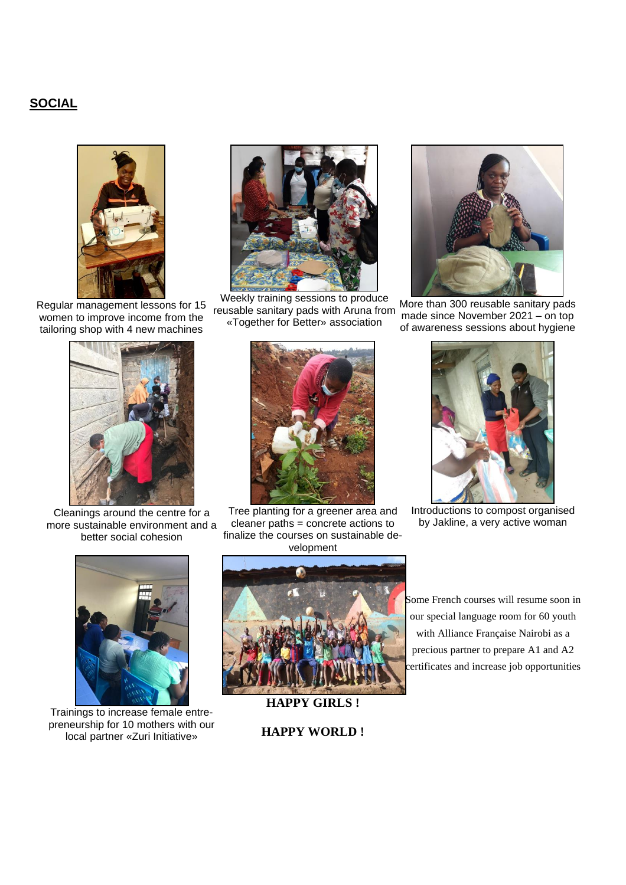### **SOCIAL**



Regular management lessons for 15 women to improve income from the tailoring shop with 4 new machines



Cleanings around the centre for a more sustainable environment and a better social cohesion



Weekly training sessions to produce reusable sanitary pads with Aruna from «Together for Better» association



Tree planting for a greener area and cleaner paths = concrete actions to finalize the courses on sustainable development



More than 300 reusable sanitary pads made since November 2021 – on top of awareness sessions about hygiene



Introductions to compost organised by Jakline, a very active woman



Trainings to increase female entrepreneurship for 10 mothers with our local partner «Zuri Initiative»



Some French courses will resume soon in our special language room for 60 youth with Alliance Française Nairobi as a precious partner to prepare A1 and A2 certificates and increase job opportunities

**HAPPY WORLD !**